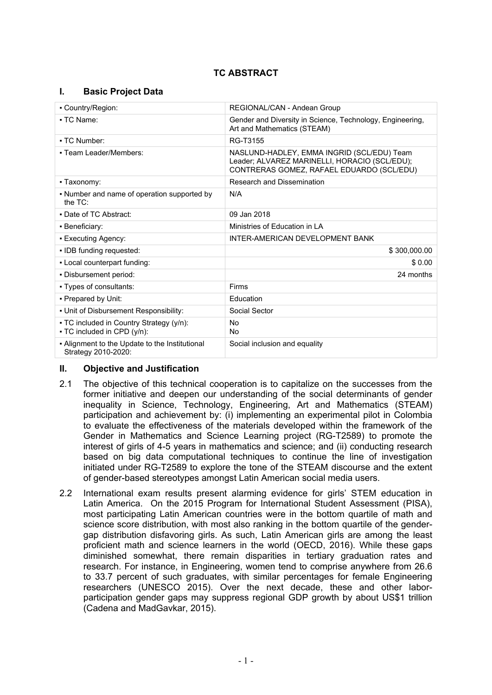# **TC ABSTRACT**

## **I. Basic Project Data**

| - Country/Region:                                                       | REGIONAL/CAN - Andean Group                                                                                                              |  |
|-------------------------------------------------------------------------|------------------------------------------------------------------------------------------------------------------------------------------|--|
| • TC Name:                                                              | Gender and Diversity in Science, Technology, Engineering,<br>Art and Mathematics (STEAM)                                                 |  |
| - TC Number:                                                            | RG-T3155                                                                                                                                 |  |
| • Team Leader/Members:                                                  | NASLUND-HADLEY, EMMA INGRID (SCL/EDU) Team<br>Leader; ALVAREZ MARINELLI, HORACIO (SCL/EDU);<br>CONTRERAS GOMEZ, RAFAEL EDUARDO (SCL/EDU) |  |
| - Taxonomy:                                                             | Research and Dissemination                                                                                                               |  |
| • Number and name of operation supported by<br>the $TC$ :               | N/A                                                                                                                                      |  |
| • Date of TC Abstract:                                                  | 09 Jan 2018                                                                                                                              |  |
| • Beneficiary:                                                          | Ministries of Education in LA                                                                                                            |  |
| • Executing Agency:                                                     | INTER-AMERICAN DEVELOPMENT BANK                                                                                                          |  |
| • IDB funding requested:                                                | \$300,000.00                                                                                                                             |  |
| - Local counterpart funding:                                            | \$0.00                                                                                                                                   |  |
| - Disbursement period:                                                  | 24 months                                                                                                                                |  |
| • Types of consultants:                                                 | Firms                                                                                                                                    |  |
| • Prepared by Unit:                                                     | Education                                                                                                                                |  |
| . Unit of Disbursement Responsibility:                                  | Social Sector                                                                                                                            |  |
| - TC included in Country Strategy (y/n):<br>• TC included in CPD (y/n): | <b>No</b><br>No                                                                                                                          |  |
| - Alignment to the Update to the Institutional<br>Strategy 2010-2020:   | Social inclusion and equality                                                                                                            |  |

### **II. Objective and Justification**

- 2.1 The objective of this technical cooperation is to capitalize on the successes from the former initiative and deepen our understanding of the social determinants of gender inequality in Science, Technology, Engineering, Art and Mathematics (STEAM) participation and achievement by: (i) implementing an experimental pilot in Colombia to evaluate the effectiveness of the materials developed within the framework of the Gender in Mathematics and Science Learning project (RG-T2589) to promote the interest of girls of 4-5 years in mathematics and science; and (ii) conducting research based on big data computational techniques to continue the line of investigation initiated under RG-T2589 to explore the tone of the STEAM discourse and the extent of gender-based stereotypes amongst Latin American social media users.
- 2.2 International exam results present alarming evidence for girls' STEM education in Latin America. On the 2015 Program for International Student Assessment (PISA), most participating Latin American countries were in the bottom quartile of math and science score distribution, with most also ranking in the bottom quartile of the gendergap distribution disfavoring girls. As such, Latin American girls are among the least proficient math and science learners in the world (OECD, 2016). While these gaps diminished somewhat, there remain disparities in tertiary graduation rates and research. For instance, in Engineering, women tend to comprise anywhere from 26.6 to 33.7 percent of such graduates, with similar percentages for female Engineering researchers (UNESCO 2015). Over the next decade, these and other laborparticipation gender gaps may suppress regional GDP growth by about US\$1 trillion (Cadena and MadGavkar, 2015).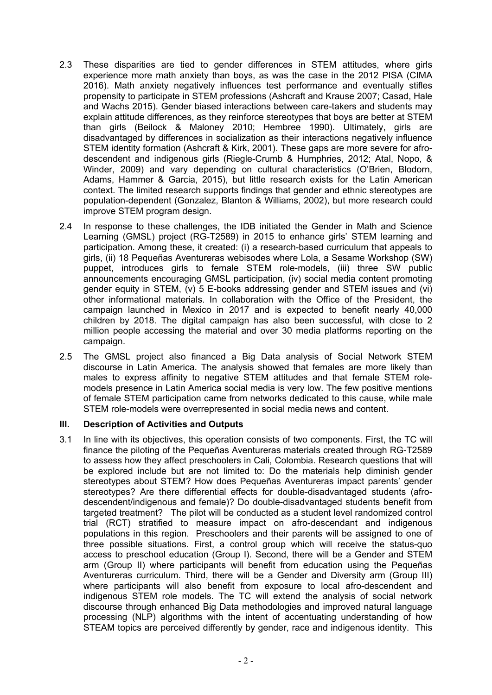- 2.3 These disparities are tied to gender differences in STEM attitudes, where girls experience more math anxiety than boys, as was the case in the 2012 PISA (CIMA 2016). Math anxiety negatively influences test performance and eventually stifles propensity to participate in STEM professions (Ashcraft and Krause 2007; Casad, Hale and Wachs 2015). Gender biased interactions between care-takers and students may explain attitude differences, as they reinforce stereotypes that boys are better at STEM than girls (Beilock & Maloney 2010; Hembree 1990). Ultimately, girls are disadvantaged by differences in socialization as their interactions negatively influence STEM identity formation (Ashcraft & Kirk, 2001). These gaps are more severe for afrodescendent and indigenous girls (Riegle-Crumb & Humphries, 2012; Atal, Nopo, & Winder, 2009) and vary depending on cultural characteristics (O'Brien, Blodorn, Adams, Hammer & Garcia, 2015), but little research exists for the Latin American context. The limited research supports findings that gender and ethnic stereotypes are population-dependent (Gonzalez, Blanton & Williams, 2002), but more research could improve STEM program design.
- 2.4 In response to these challenges, the IDB initiated the Gender in Math and Science Learning (GMSL) project (RG-T2589) in 2015 to enhance girls' STEM learning and participation. Among these, it created: (i) a research-based curriculum that appeals to girls, (ii) 18 Pequeñas Aventureras webisodes where Lola, a Sesame Workshop (SW) puppet, introduces girls to female STEM role-models, (iii) three SW public announcements encouraging GMSL participation, (iv) social media content promoting gender equity in STEM, (v) 5 E-books addressing gender and STEM issues and (vi) other informational materials. In collaboration with the Office of the President, the campaign launched in Mexico in 2017 and is expected to benefit nearly 40,000 children by 2018. The digital campaign has also been successful, with close to 2 million people accessing the material and over 30 media platforms reporting on the campaign.
- 2.5 The GMSL project also financed a Big Data analysis of Social Network STEM discourse in Latin America. The analysis showed that females are more likely than males to express affinity to negative STEM attitudes and that female STEM rolemodels presence in Latin America social media is very low. The few positive mentions of female STEM participation came from networks dedicated to this cause, while male STEM role-models were overrepresented in social media news and content.

### **III. Description of Activities and Outputs**

3.1 In line with its objectives, this operation consists of two components. First, the TC will finance the piloting of the Pequeñas Aventureras materials created through RG-T2589 to assess how they affect preschoolers in Cali, Colombia. Research questions that will be explored include but are not limited to: Do the materials help diminish gender stereotypes about STEM? How does Pequeñas Aventureras impact parents' gender stereotypes? Are there differential effects for double-disadvantaged students (afrodescendent/indigenous and female)? Do double-disadvantaged students benefit from targeted treatment? The pilot will be conducted as a student level randomized control trial (RCT) stratified to measure impact on afro-descendant and indigenous populations in this region. Preschoolers and their parents will be assigned to one of three possible situations. First, a control group which will receive the status-quo access to preschool education (Group I). Second, there will be a Gender and STEM arm (Group II) where participants will benefit from education using the Pequeñas Aventureras curriculum. Third, there will be a Gender and Diversity arm (Group III) where participants will also benefit from exposure to local afro-descendent and indigenous STEM role models. The TC will extend the analysis of social network discourse through enhanced Big Data methodologies and improved natural language processing (NLP) algorithms with the intent of accentuating understanding of how STEAM topics are perceived differently by gender, race and indigenous identity. This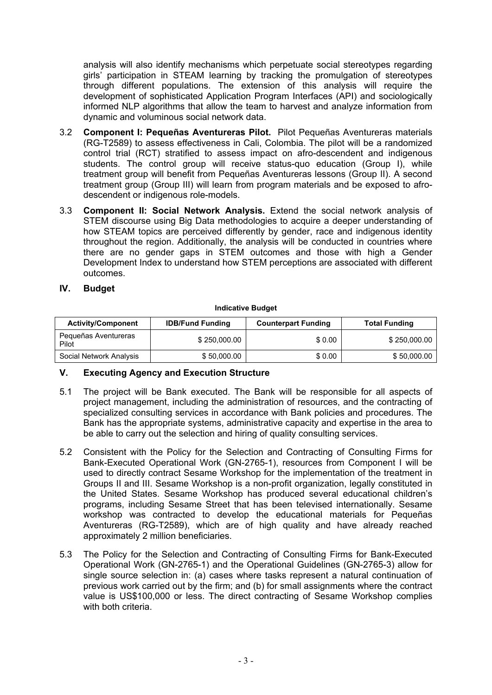analysis will also identify mechanisms which perpetuate social stereotypes regarding girls' participation in STEAM learning by tracking the promulgation of stereotypes through different populations. The extension of this analysis will require the development of sophisticated Application Program Interfaces (API) and sociologically informed NLP algorithms that allow the team to harvest and analyze information from dynamic and voluminous social network data.

- 3.2 **Component I: Pequeñas Aventureras Pilot.** Pilot Pequeñas Aventureras materials (RG-T2589) to assess effectiveness in Cali, Colombia. The pilot will be a randomized control trial (RCT) stratified to assess impact on afro-descendent and indigenous students. The control group will receive status-quo education (Group I), while treatment group will benefit from Pequeñas Aventureras lessons (Group II). A second treatment group (Group III) will learn from program materials and be exposed to afrodescendent or indigenous role-models.
- 3.3 **Component II: Social Network Analysis.** Extend the social network analysis of STEM discourse using Big Data methodologies to acquire a deeper understanding of how STEAM topics are perceived differently by gender, race and indigenous identity throughout the region. Additionally, the analysis will be conducted in countries where there are no gender gaps in STEM outcomes and those with high a Gender Development Index to understand how STEM perceptions are associated with different outcomes.

### **IV. Budget**

#### **Indicative Budget**

| <b>Activity/Component</b>     | <b>IDB/Fund Funding</b> | <b>Counterpart Funding</b> | <b>Total Funding</b> |
|-------------------------------|-------------------------|----------------------------|----------------------|
| Pequeñas Aventureras<br>Pilot | \$250,000.00            | \$0.00                     | \$250,000.00         |
| Social Network Analysis       | \$50,000.00             | \$0.00                     | \$50,000.00          |

### **V. Executing Agency and Execution Structure**

- 5.1 The project will be Bank executed. The Bank will be responsible for all aspects of project management, including the administration of resources, and the contracting of specialized consulting services in accordance with Bank policies and procedures. The Bank has the appropriate systems, administrative capacity and expertise in the area to be able to carry out the selection and hiring of quality consulting services.
- 5.2 Consistent with the Policy for the Selection and Contracting of Consulting Firms for Bank-Executed Operational Work (GN-2765-1), resources from Component I will be used to directly contract Sesame Workshop for the implementation of the treatment in Groups II and III. Sesame Workshop is a non-profit organization, legally constituted in the United States. Sesame Workshop has produced several educational children's programs, including Sesame Street that has been televised internationally. Sesame workshop was contracted to develop the educational materials for Pequeñas Aventureras (RG-T2589), which are of high quality and have already reached approximately 2 million beneficiaries.
- 5.3 The Policy for the Selection and Contracting of Consulting Firms for Bank-Executed Operational Work (GN-2765-1) and the Operational Guidelines (GN-2765-3) allow for single source selection in: (a) cases where tasks represent a natural continuation of previous work carried out by the firm; and (b) for small assignments where the contract value is US\$100,000 or less. The direct contracting of Sesame Workshop complies with both criteria.